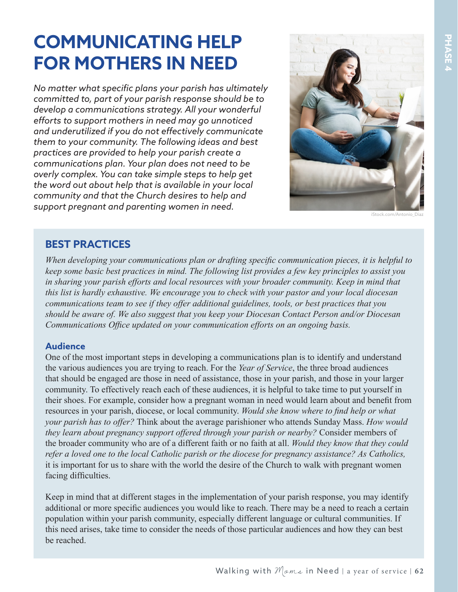# **COMMUNICATING HELP FOR MOTHERS IN NEED**

*No matter what specific plans your parish has ultimately committed to, part of your parish response should be to develop a communications strategy. All your wonderful efforts to support mothers in need may go unnoticed and underutilized if you do not effectively communicate them to your community. The following ideas and best practices are provided to help your parish create a communications plan. Your plan does not need to be overly complex. You can take simple steps to help get the word out about help that is available in your local community and that the Church desires to help and support pregnant and parenting women in need.*



iStock.com/Antonio\_Diaz

## **BEST PRACTICES**

*When developing your communications plan or drafting specific communication pieces, it is helpful to keep some basic best practices in mind. The following list provides a few key principles to assist you in sharing your parish efforts and local resources with your broader community. Keep in mind that this list is hardly exhaustive. We encourage you to check with your pastor and your local diocesan communications team to see if they offer additional guidelines, tools, or best practices that you should be aware of. We also suggest that you keep your Diocesan Contact Person and/or Diocesan Communications Office updated on your communication efforts on an ongoing basis.*

### **Audience**

One of the most important steps in developing a communications plan is to identify and understand the various audiences you are trying to reach. For the *Year of Service*, the three broad audiences that should be engaged are those in need of assistance, those in your parish, and those in your larger community. To effectively reach each of these audiences, it is helpful to take time to put yourself in their shoes. For example, consider how a pregnant woman in need would learn about and benefit from resources in your parish, diocese, or local community. *Would she know where to find help or what your parish has to offer?* Think about the average parishioner who attends Sunday Mass. *How would they learn about pregnancy support offered through your parish or nearby?* Consider members of the broader community who are of a different faith or no faith at all. *Would they know that they could refer a loved one to the local Catholic parish or the diocese for pregnancy assistance? As Catholics,*  it is important for us to share with the world the desire of the Church to walk with pregnant women facing difficulties.

Keep in mind that at different stages in the implementation of your parish response, you may identify additional or more specific audiences you would like to reach. There may be a need to reach a certain population within your parish community, especially different language or cultural communities. If this need arises, take time to consider the needs of those particular audiences and how they can best be reached.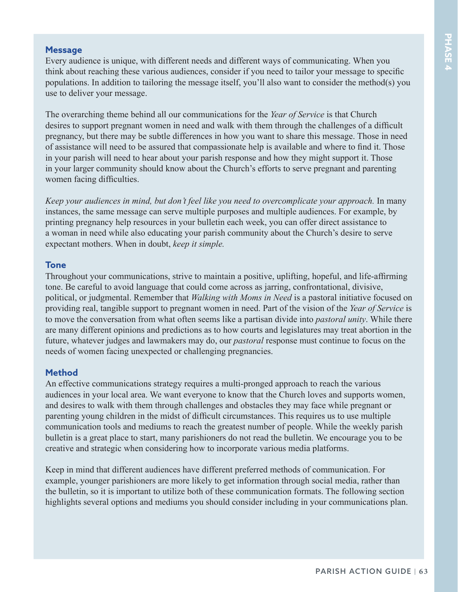#### **Message**

Every audience is unique, with different needs and different ways of communicating. When you think about reaching these various audiences, consider if you need to tailor your message to specific populations. In addition to tailoring the message itself, you'll also want to consider the method(s) you use to deliver your message.

The overarching theme behind all our communications for the *Year of Service* is that Church desires to support pregnant women in need and walk with them through the challenges of a difficult pregnancy, but there may be subtle differences in how you want to share this message. Those in need of assistance will need to be assured that compassionate help is available and where to find it. Those in your parish will need to hear about your parish response and how they might support it. Those in your larger community should know about the Church's efforts to serve pregnant and parenting women facing difficulties.

*Keep your audiences in mind, but don't feel like you need to overcomplicate your approach.* In many instances, the same message can serve multiple purposes and multiple audiences. For example, by printing pregnancy help resources in your bulletin each week, you can offer direct assistance to a woman in need while also educating your parish community about the Church's desire to serve expectant mothers. When in doubt, *keep it simple.* 

#### **Tone**

Throughout your communications, strive to maintain a positive, uplifting, hopeful, and life-affirming tone. Be careful to avoid language that could come across as jarring, confrontational, divisive, political, or judgmental. Remember that *Walking with Moms in Need* is a pastoral initiative focused on providing real, tangible support to pregnant women in need. Part of the vision of the *Year of Service* is to move the conversation from what often seems like a partisan divide into *pastoral unity*. While there are many different opinions and predictions as to how courts and legislatures may treat abortion in the future, whatever judges and lawmakers may do, our *pastoral* response must continue to focus on the needs of women facing unexpected or challenging pregnancies.

#### **Method**

An effective communications strategy requires a multi-pronged approach to reach the various audiences in your local area. We want everyone to know that the Church loves and supports women, and desires to walk with them through challenges and obstacles they may face while pregnant or parenting young children in the midst of difficult circumstances. This requires us to use multiple communication tools and mediums to reach the greatest number of people. While the weekly parish bulletin is a great place to start, many parishioners do not read the bulletin. We encourage you to be creative and strategic when considering how to incorporate various media platforms.

Keep in mind that different audiences have different preferred methods of communication. For example, younger parishioners are more likely to get information through social media, rather than the bulletin, so it is important to utilize both of these communication formats. The following section highlights several options and mediums you should consider including in your communications plan.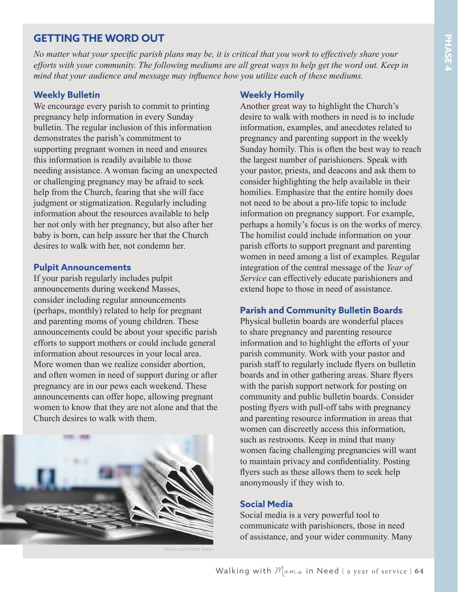## **GETTING THE WORD OUT**

*No matter what your specific parish plans may be, it is critical that you work to effectively share your efforts with your community. The following mediums are all great ways to help get the word out. Keep in mind that your audience and message may influence how you utilize each of these mediums.*

#### **Weekly Bulletin**

We encourage every parish to commit to printing pregnancy help information in every Sunday bulletin. The regular inclusion of this information demonstrates the parish's commitment to supporting pregnant women in need and ensures this information is readily available to those needing assistance. A woman facing an unexpected or challenging pregnancy may be afraid to seek help from the Church, fearing that she will face judgment or stigmatization. Regularly including information about the resources available to help her not only with her pregnancy, but also after her baby is born, can help assure her that the Church desires to walk with her, not condemn her.

#### **Pulpit Announcements**

If your parish regularly includes pulpit announcements during weekend Masses, consider including regular announcements (perhaps, monthly) related to help for pregnant and parenting moms of young children. These announcements could be about your specific parish efforts to support mothers or could include general information about resources in your local area. More women than we realize consider abortion, and often women in need of support during or after pregnancy are in our pews each weekend. These announcements can offer hope, allowing pregnant women to know that they are not alone and that the Church desires to walk with them.



ock.com/Fedor Kozy

#### **Weekly Homily**

Another great way to highlight the Church's desire to walk with mothers in need is to include information, examples, and anecdotes related to pregnancy and parenting support in the weekly Sunday homily. This is often the best way to reach the largest number of parishioners. Speak with your pastor, priests, and deacons and ask them to consider highlighting the help available in their homilies. Emphasize that the entire homily does not need to be about a pro-life topic to include information on pregnancy support. For example, perhaps a homily's focus is on the works of mercy. The homilist could include information on your parish efforts to support pregnant and parenting women in need among a list of examples. Regular integration of the central message of the *Year of Service* can effectively educate parishioners and extend hope to those in need of assistance.

#### **Parish and Community Bulletin Boards**

Physical bulletin boards are wonderful places to share pregnancy and parenting resource information and to highlight the efforts of your parish community. Work with your pastor and parish staff to regularly include flyers on bulletin boards and in other gathering areas. Share flyers with the parish support network for posting on community and public bulletin boards. Consider posting flyers with pull-off tabs with pregnancy and parenting resource information in areas that women can discreetly access this information, such as restrooms. Keep in mind that many women facing challenging pregnancies will want to maintain privacy and confidentiality. Posting flyers such as these allows them to seek help anonymously if they wish to.

#### **Social Media**

Social media is a very powerful tool to communicate with parishioners, those in need of assistance, and your wider community. Many